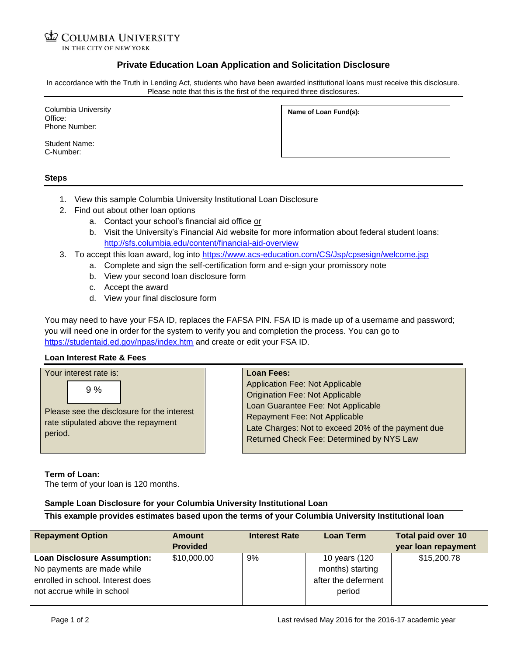# **COLUMBIA UNIVERSITY**

IN THE CITY OF NEW YORK

## **Private Education Loan Application and Solicitation Disclosure**

In accordance with the Truth in Lending Act, students who have been awarded institutional loans must receive this disclosure. Please note that this is the first of the required three disclosures.

Columbia University Office: Phone Number:

Student Name: C-Number:

**Name of Loan Fund(s):**

#### **Steps**

- 1. View this sample Columbia University Institutional Loan Disclosure
- 2. Find out about other loan options
	- a. Contact your school's financial aid office or
	- b. Visit the University's Financial Aid website for more information about federal student loans: <http://sfs.columbia.edu/content/financial-aid-overview>
- 3. To accept this loan award, log into <https://www.acs-education.com/CS/Jsp/cpsesign/welcome.jsp>
	- a. Complete and sign the self-certification form and e-sign your promissory note
	- b. View your second loan disclosure form
	- c. Accept the award
	- d. View your final disclosure form

You may need to have your FSA ID, replaces the FAFSA PIN. FSA ID is made up of a username and password; you will need one in order for the system to verify you and completion the process. You can go to <https://studentaid.ed.gov/npas/index.htm> and create or edit your FSA ID.

#### **Loan Interest Rate & Fees**

| Your interest rate is: |    |                                                                                   | Loan Fees:                                                                                                                                                                                                                                          |  |  |
|------------------------|----|-----------------------------------------------------------------------------------|-----------------------------------------------------------------------------------------------------------------------------------------------------------------------------------------------------------------------------------------------------|--|--|
| period.                | 9% | Please see the disclosure for the interest<br>rate stipulated above the repayment | Application Fee: Not Applicable<br><b>Origination Fee: Not Applicable</b><br>Loan Guarantee Fee: Not Applicable<br>Repayment Fee: Not Applicable<br>Late Charges: Not to exceed 20% of the payment due<br>Returned Check Fee: Determined by NYS Law |  |  |

#### **Term of Loan:**

The term of your loan is 120 months.

### **Sample Loan Disclosure for your Columbia University Institutional Loan**

**This example provides estimates based upon the terms of your Columbia University Institutional loan**

| <b>Repayment Option</b>            | <b>Amount</b>   | <b>Interest Rate</b> | <b>Loan Term</b>    | <b>Total paid over 10</b> |
|------------------------------------|-----------------|----------------------|---------------------|---------------------------|
|                                    | <b>Provided</b> |                      |                     | year loan repayment       |
| <b>Loan Disclosure Assumption:</b> | \$10,000.00     | 9%                   | 10 years (120       | \$15,200.78               |
| No payments are made while         |                 |                      | months) starting    |                           |
| enrolled in school. Interest does  |                 |                      | after the deferment |                           |
| not accrue while in school         |                 |                      | period              |                           |
|                                    |                 |                      |                     |                           |